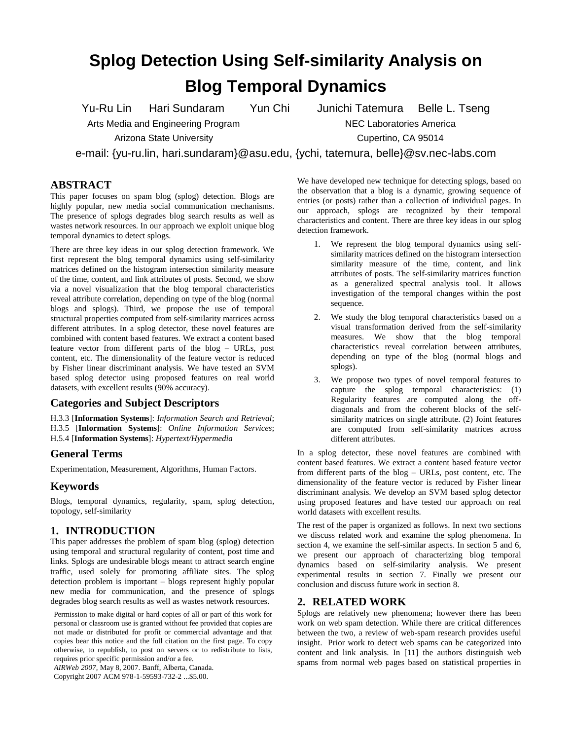# **Splog Detection Using Self-similarity Analysis on Blog Temporal Dynamics**

Yu-Ru Lin Hari Sundaram Yun Chi Junichi Tatemura Belle L. Tseng

Arts Media and Engineering Program

Arizona State University

NEC Laboratories America Cupertino, CA 95014

e-mail: {yu-ru.lin, hari.sundaram}@asu.edu, {ychi, tatemura, belle}@sv.nec-labs.com

# **ABSTRACT**

This paper focuses on spam blog (splog) detection. Blogs are highly popular, new media social communication mechanisms. The presence of splogs degrades blog search results as well as wastes network resources. In our approach we exploit unique blog temporal dynamics to detect splogs.

There are three key ideas in our splog detection framework. We first represent the blog temporal dynamics using self-similarity matrices defined on the histogram intersection similarity measure of the time, content, and link attributes of posts. Second, we show via a novel visualization that the blog temporal characteristics reveal attribute correlation, depending on type of the blog (normal blogs and splogs). Third, we propose the use of temporal structural properties computed from self-similarity matrices across different attributes. In a splog detector, these novel features are combined with content based features. We extract a content based feature vector from different parts of the blog – URLs, post content, etc. The dimensionality of the feature vector is reduced by Fisher linear discriminant analysis. We have tested an SVM based splog detector using proposed features on real world datasets, with excellent results (90% accuracy).

# **Categories and Subject Descriptors**

H.3.3 [**Information Systems**]: *Information Search and Retrieval*; H.3.5 [**Information Systems**]: *Online Information Services*; H.5.4 [**Information Systems**]: *Hypertext/Hypermedia*

# **General Terms**

Experimentation, Measurement, Algorithms, Human Factors.

# **Keywords**

Blogs, temporal dynamics, regularity, spam, splog detection, topology, self-similarity

# **1. INTRODUCTION**

This paper addresses the problem of spam blog (splog) detection using temporal and structural regularity of content, post time and links. Splogs are undesirable blogs meant to attract search engine traffic, used solely for promoting affiliate sites. The splog detection problem is important – blogs represent highly popular new media for communication, and the presence of splogs degrades blog search results as well as wastes network resources.

Permission to make digital or hard copies of all or part of this work for personal or classroom use is granted without fee provided that copies are not made or distributed for profit or commercial advantage and that copies bear this notice and the full citation on the first page. To copy otherwise, to republish, to post on servers or to redistribute to lists, requires prior specific permission and/or a fee.

*AIRWeb 2007,* May 8, 2007. Banff, Alberta, Canada. Copyright 2007 ACM 978-1-59593-732-2 ...\$5.00.

We have developed new technique for detecting splogs, based on the observation that a blog is a dynamic, growing sequence of entries (or posts) rather than a collection of individual pages. In our approach, splogs are recognized by their temporal characteristics and content. There are three key ideas in our splog detection framework.

- 1. We represent the blog temporal dynamics using selfsimilarity matrices defined on the histogram intersection similarity measure of the time, content, and link attributes of posts. The self-similarity matrices function as a generalized spectral analysis tool. It allows investigation of the temporal changes within the post sequence.
- 2. We study the blog temporal characteristics based on a visual transformation derived from the self-similarity measures. We show that the blog temporal characteristics reveal correlation between attributes, depending on type of the blog (normal blogs and splogs).
- 3. We propose two types of novel temporal features to capture the splog temporal characteristics: (1) Regularity features are computed along the offdiagonals and from the coherent blocks of the selfsimilarity matrices on single attribute. (2) Joint features are computed from self-similarity matrices across different attributes.

In a splog detector, these novel features are combined with content based features. We extract a content based feature vector from different parts of the blog – URLs, post content, etc. The dimensionality of the feature vector is reduced by Fisher linear discriminant analysis. We develop an SVM based splog detector using proposed features and have tested our approach on real world datasets with excellent results.

The rest of the paper is organized as follows. In next two sections we discuss related work and examine the splog phenomena. In section [4,](#page-2-0) we examine the self-similar aspects. In section [5](#page-3-0) and [6,](#page-4-0) we present our approach of characterizing blog temporal dynamics based on self-similarity analysis. We present experimental results in section [7.](#page-5-0) Finally we present our conclusion and discuss future work in section [8.](#page-7-0) 

# **2. RELATED WORK**

Splogs are relatively new phenomena; however there has been work on web spam detection. While there are critical differences between the two, a review of web-spam research provides useful insight. Prior work to detect web spams can be categorized into content and link analysis. In [11] the authors distinguish web spams from normal web pages based on statistical properties in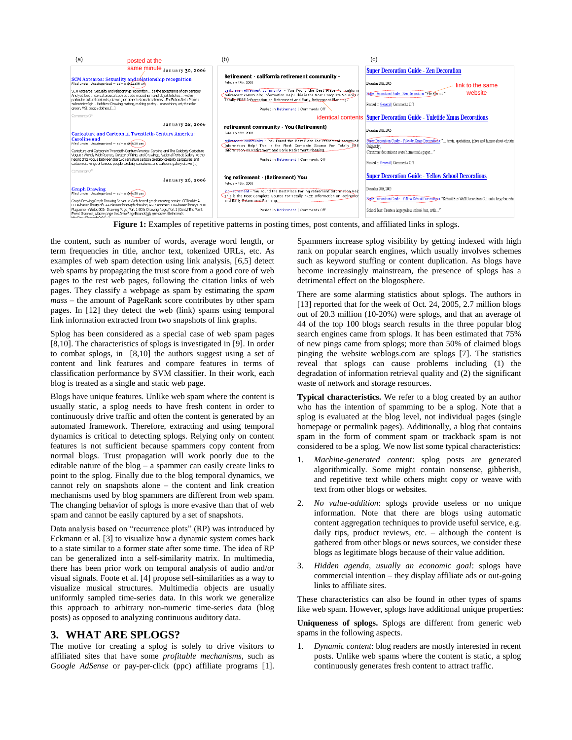

<span id="page-1-0"></span>**Figure 1:** Examples of repetitive patterns in posting times, post contents, and affiliated links in splogs.

the content, such as number of words, average word length, or term frequencies in title, anchor text, tokenized URLs, etc. As examples of web spam detection using link analysis, [6,5] detect web spams by propagating the trust score from a good core of web pages to the rest web pages, following the citation links of web pages. They classify a webpage as spam by estimating the *spam mass* – the amount of PageRank score contributes by other spam pages. In [12] they detect the web (link) spams using temporal link information extracted from two snapshots of link graphs.

Splog has been considered as a special case of web spam pages [8,10]. The characteristics of splogs is investigated in [9]. In order to combat splogs, in [8,10] the authors suggest using a set of content and link features and compare features in terms of classification performance by SVM classifier. In their work, each blog is treated as a single and static web page.

Blogs have unique features. Unlike web spam where the content is usually static, a splog needs to have fresh content in order to continuously drive traffic and often the content is generated by an automated framework. Therefore, extracting and using temporal dynamics is critical to detecting splogs. Relying only on content features is not sufficient because spammers copy content from normal blogs. Trust propagation will work poorly due to the editable nature of the blog – a spammer can easily create links to point to the splog. Finally due to the blog temporal dynamics, we cannot rely on snapshots alone – the content and link creation mechanisms used by blog spammers are different from web spam. The changing behavior of splogs is more evasive than that of web spam and cannot be easily captured by a set of snapshots.

Data analysis based on "recurrence plots" (RP) was introduced by Eckmann et al. [3] to visualize how a dynamic system comes back to a state similar to a former state after some time. The idea of RP can be generalized into a self-similarity matrix. In multimedia, there has been prior work on temporal analysis of audio and/or visual signals. Foote et al. [4] propose self-similarities as a way to visualize musical structures. Multimedia objects are usually uniformly sampled time-series data. In this work we generalize this approach to arbitrary non-numeric time-series data (blog posts) as opposed to analyzing continuous auditory data.

# **3. WHAT ARE SPLOGS?**

The motive for creating a splog is solely to drive visitors to affiliated sites that have some *profitable mechanisms*, such as *Google AdSense* or pay-per-click (ppc) affiliate programs [1]. Spammers increase splog visibility by getting indexed with high rank on popular search engines, which usually involves schemes such as keyword stuffing or content duplication. As blogs have become increasingly mainstream, the presence of splogs has a detrimental effect on the blogosphere.

There are some alarming statistics about splogs. The authors in [13] reported that for the week of Oct. 24, 2005, 2.7 million blogs out of 20.3 million (10-20%) were splogs, and that an average of 44 of the top 100 blogs search results in the three popular blog search engines came from splogs. It has been estimated that 75% of new pings came from splogs; more than 50% of claimed blogs pinging the website weblogs.com are splogs [7]. The statistics reveal that splogs can cause problems including (1) the degradation of information retrieval quality and (2) the significant waste of network and storage resources.

**Typical characteristics.** We refer to a blog created by an author who has the intention of spamming to be a splog. Note that a splog is evaluated at the blog level, not individual pages (single homepage or permalink pages). Additionally, a blog that contains spam in the form of comment spam or trackback spam is not considered to be a splog. We now list some typical characteristics:

- 1. *Machine-generated content*: splog posts are generated algorithmically. Some might contain nonsense, gibberish, and repetitive text while others might copy or weave with text from other blogs or websites.
- 2. *No value-addition*: splogs provide useless or no unique information. Note that there are blogs using automatic content aggregation techniques to provide useful service, e.g. daily tips, product reviews, etc. – although the content is gathered from other blogs or news sources, we consider these blogs as legitimate blogs because of their value addition.
- 3. *Hidden agenda, usually an economic goal*: splogs have commercial intention – they display affiliate ads or out-going links to affiliate sites.

These characteristics can also be found in other types of spams like web spam. However, splogs have additional unique properties:

**Uniqueness of splogs.** Splogs are different from generic web spams in the following aspects.

1. *Dynamic content*: blog readers are mostly interested in recent posts. Unlike web spams where the content is static, a splog continuously generates fresh content to attract traffic.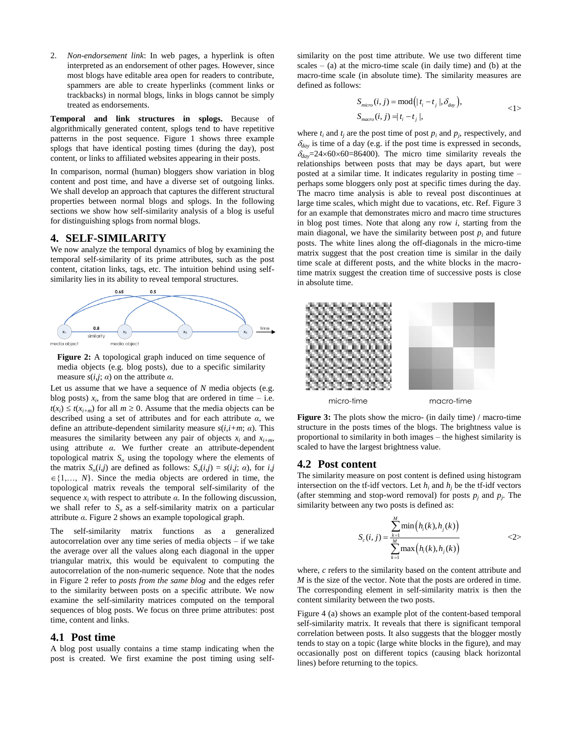2. *Non-endorsement link*: In web pages, a hyperlink is often interpreted as an endorsement of other pages. However, since most blogs have editable area open for readers to contribute, spammers are able to create hyperlinks (comment links or trackbacks) in normal blogs, links in blogs cannot be simply treated as endorsements.

**Temporal and link structures in splogs.** Because of algorithmically generated content, splogs tend to have repetitive patterns in the post sequence. [Figure 1](#page-1-0) shows three example splogs that have identical posting times (during the day), post content, or links to affiliated websites appearing in their posts.

In comparison, normal (human) bloggers show variation in blog content and post time, and have a diverse set of outgoing links. We shall develop an approach that captures the different structural properties between normal blogs and splogs. In the following sections we show how self-similarity analysis of a blog is useful for distinguishing splogs from normal blogs.

#### <span id="page-2-0"></span>**4. SELF-SIMILARITY**

We now analyze the temporal dynamics of blog by examining the temporal self-similarity of its prime attributes, such as the post content, citation links, tags, etc. The intuition behind using selfsimilarity lies in its ability to reveal temporal structures.



<span id="page-2-1"></span>**Figure 2:** A topological graph induced on time sequence of media objects (e.g. blog posts), due to a specific similarity measure  $s(i,j; \alpha)$  on the attribute  $\alpha$ .

Let us assume that we have a sequence of *N* media objects (e.g. blog posts)  $x_i$ , from the same blog that are ordered in time – i.e.  $t(x_i) \le t(x_{i+m})$  for all  $m \ge 0$ . Assume that the media objects can be described using a set of attributes and for each attribute *α*, we define an attribute-dependent similarity measure *s*(*i*,*i+m*; *α*). This measures the similarity between any pair of objects  $x_i$  and  $x_{i+m}$ , using attribute *α*. We further create an attribute-dependent topological matrix  $S_a$  using the topology where the elements of the matrix  $S_a(i,j)$  are defined as follows:  $S_a(i,j) = s(i,j; \alpha)$ , for *i*,*j*  $\{1, \ldots, N\}$ . Since the media objects are ordered in time, the topological matrix reveals the temporal self-similarity of the sequence  $x_i$  with respect to attribute  $\alpha$ . In the following discussion, we shall refer to  $S_a$  as a self-similarity matrix on a particular attribute *α*[. Figure 2](#page-2-1) shows an example topological graph.

The self-similarity matrix functions as a generalized autocorrelation over any time series of media objects – if we take the average over all the values along each diagonal in the upper triangular matrix, this would be equivalent to computing the autocorrelation of the non-numeric sequence. Note that the nodes in [Figure 2](#page-2-1) refer to *posts from the same blog* and the edges refer to the similarity between posts on a specific attribute. We now examine the self-similarity matrices computed on the temporal sequences of blog posts. We focus on three prime attributes: post time, content and links.

#### **4.1 Post time**

A blog post usually contains a time stamp indicating when the post is created. We first examine the post timing using selfsimilarity on the post time attribute. We use two different time scales – (a) at the micro-time scale (in daily time) and (b) at the macro-time scale (in absolute time). The similarity measures are defined as follows:

$$
S_{micro}(i, j) = \text{mod} \left( |t_i - t_j|, \delta_{day} \right),
$$
  
\n
$$
S_{macro}(i, j) = |t_i - t_j|,
$$
\n(1)

where  $t_i$  and  $t_j$  are the post time of post  $p_i$  and  $p_j$ , respectively, and  $\delta_{day}$  is time of a day (e.g. if the post time is expressed in seconds,  $\delta_{\text{dav}}$ =24×60×60=86400). The micro time similarity reveals the relationships between posts that may be days apart, but were posted at a similar time. It indicates regularity in posting time – perhaps some bloggers only post at specific times during the day. The macro time analysis is able to reveal post discontinues at large time scales, which might due to vacations, etc. Ref. [Figure 3](#page-2-2) for an example that demonstrates micro and macro time structures in blog post times. Note that along any row *i*, starting from the main diagonal, we have the similarity between post  $p_i$  and future posts. The white lines along the off-diagonals in the micro-time matrix suggest that the post creation time is similar in the daily time scale at different posts, and the white blocks in the macrotime matrix suggest the creation time of successive posts is close in absolute time.



**Figure 3:** The plots show the micro- (in daily time) / macro-time structure in the posts times of the blogs. The brightness value is proportional to similarity in both images – the highest similarity is scaled to have the largest brightness value.

#### <span id="page-2-2"></span>**4.2 Post content**

The similarity measure on post content is defined using histogram intersection on the tf-idf vectors. Let  $h_i$  and  $h_j$  be the tf-idf vectors (after stemming and stop-word removal) for posts  $p_j$  and  $p_j$ . The similarity between any two posts is defined as:

$$
S_c(i, j) = \frac{\sum_{k=1}^{M} \min(h_i(k), h_j(k))}{\sum_{k=1}^{M} \max(h_i(k), h_j(k))}
$$
  $\leq$ 

where, *c* refers to the similarity based on the content attribute and *M* is the size of the vector. Note that the posts are ordered in time. The corresponding element in self-similarity matrix is then the content similarity between the two posts.

[Figure 4](#page-3-1) (a) shows an example plot of the content-based temporal self-similarity matrix. It reveals that there is significant temporal correlation between posts. It also suggests that the blogger mostly tends to stay on a topic (large white blocks in the figure), and may occasionally post on different topics (causing black horizontal lines) before returning to the topics.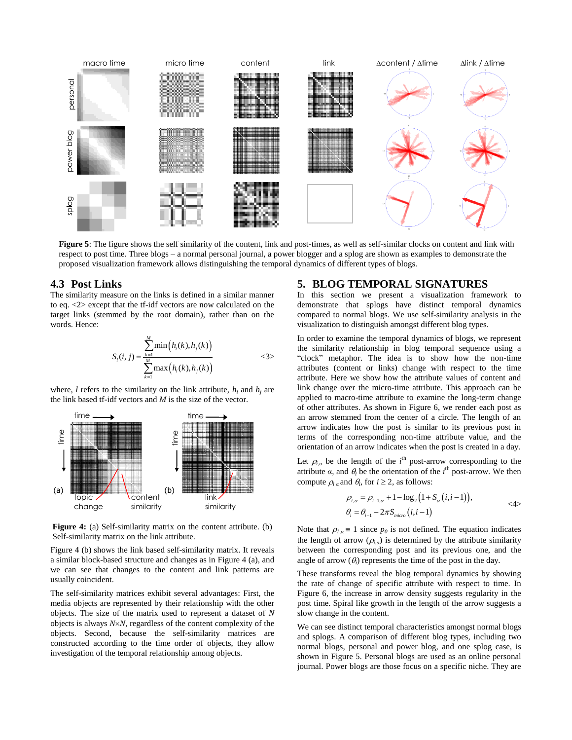

<span id="page-3-2"></span>**Figure 5**: The figure shows the self similarity of the content, link and post-times, as well as self-similar clocks on content and link with respect to post time. Three blogs – a normal personal journal, a power blogger and a splog are shown as examples to demonstrate the proposed visualization framework allows distinguishing the temporal dynamics of different types of blogs.

## **4.3 Post Links**

The similarity measure on the links is defined in a similar manner to eq. <2> except that the tf-idf vectors are now calculated on the target links (stemmed by the root domain), rather than on the words. Hence:

$$
S_{i}(i, j) = \frac{\sum_{k=1}^{M} \min(h_{i}(k), h_{j}(k))}{\sum_{k=1}^{M} \max(h_{i}(k), h_{j}(k))}
$$
  $\langle 3 \rangle$ 

where, *l* refers to the similarity on the link attribute,  $h_i$  and  $h_j$  are the link based tf-idf vectors and *M* is the size of the vector.



<span id="page-3-1"></span>**Figure 4:** (a) Self-similarity matrix on the content attribute. (b) Self-similarity matrix on the link attribute.

[Figure 4](#page-3-1) (b) shows the link based self-similarity matrix. It reveals a similar block-based structure and changes as in [Figure 4](#page-3-1) (a), and we can see that changes to the content and link patterns are usually coincident.

The self-similarity matrices exhibit several advantages: First, the media objects are represented by their relationship with the other objects. The size of the matrix used to represent a dataset of *N* objects is always *NN*, regardless of the content complexity of the objects. Second, because the self-similarity matrices are constructed according to the time order of objects, they allow investigation of the temporal relationship among objects.

## <span id="page-3-0"></span>**5. BLOG TEMPORAL SIGNATURES**

In this section we present a visualization framework to demonstrate that splogs have distinct temporal dynamics compared to normal blogs. We use self-similarity analysis in the visualization to distinguish amongst different blog types.

In order to examine the temporal dynamics of blogs, we represent the similarity relationship in blog temporal sequence using a ―clock‖ metaphor. The idea is to show how the non-time attributes (content or links) change with respect to the time attribute. Here we show how the attribute values of content and link change over the micro-time attribute. This approach can be applied to macro-time attribute to examine the long-term change of other attributes. As shown in [Figure 6,](#page-4-1) we render each post as an arrow stemmed from the center of a circle. The length of an arrow indicates how the post is similar to its previous post in terms of the corresponding non-time attribute value, and the orientation of an arrow indicates when the post is created in a day.

Let  $\rho_{i,a}$  be the length of the *i*<sup>th</sup> post-arrow corresponding to the attribute  $\alpha$ , and  $\theta_i$  be the orientation of the *i*<sup>th</sup> post-arrow. We then compute  $\rho_i$  and  $\theta_i$ , for  $i \ge 2$ , as follows:

$$
\rho_{i,\alpha} = \rho_{i-1,\alpha} + 1 - \log_2 (1 + S_{\alpha} (i, i-1)), \n\theta_i = \theta_{i-1} - 2\pi S_{micro} (i, i-1)
$$
\n(4)

Note that  $\rho_{l,a} \equiv 1$  since  $p_0$  is not defined. The equation indicates the length of arrow  $(\rho_{i,a})$  is determined by the attribute similarity between the corresponding post and its previous one, and the angle of arrow  $(\theta_i)$  represents the time of the post in the day.

These transforms reveal the blog temporal dynamics by showing the rate of change of specific attribute with respect to time. In [Figure 6,](#page-4-1) the increase in arrow density suggests regularity in the post time. Spiral like growth in the length of the arrow suggests a slow change in the content.

We can see distinct temporal characteristics amongst normal blogs and splogs. A comparison of different blog types, including two normal blogs, personal and power blog, and one splog case, is shown in [Figure 5.](#page-3-2) Personal blogs are used as an online personal journal. Power blogs are those focus on a specific niche. They are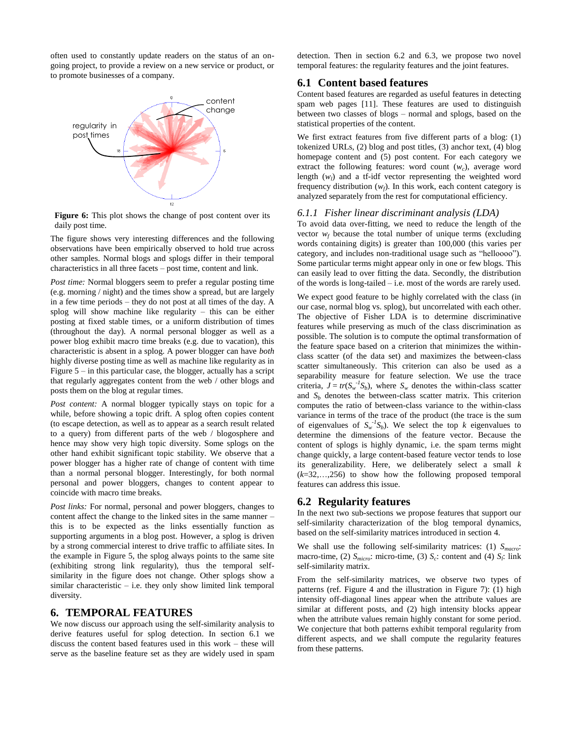often used to constantly update readers on the status of an ongoing project, to provide a review on a new service or product, or to promote businesses of a company.



<span id="page-4-1"></span>**Figure 6:** This plot shows the change of post content over its daily post time.

The figure shows very interesting differences and the following observations have been empirically observed to hold true across other samples. Normal blogs and splogs differ in their temporal characteristics in all three facets – post time, content and link.

*Post time:* Normal bloggers seem to prefer a regular posting time (e.g. morning / night) and the times show a spread, but are largely in a few time periods – they do not post at all times of the day. A splog will show machine like regularity – this can be either posting at fixed stable times, or a uniform distribution of times (throughout the day). A normal personal blogger as well as a power blog exhibit macro time breaks (e.g. due to vacation), this characteristic is absent in a splog. A power blogger can have *both*  highly diverse posting time as well as machine like regularity as in [Figure 5](#page-3-2) – in this particular case, the blogger, actually has a script that regularly aggregates content from the web / other blogs and posts them on the blog at regular times.

*Post content:* A normal blogger typically stays on topic for a while, before showing a topic drift. A splog often copies content (to escape detection, as well as to appear as a search result related to a query) from different parts of the web / blogosphere and hence may show very high topic diversity. Some splogs on the other hand exhibit significant topic stability. We observe that a power blogger has a higher rate of change of content with time than a normal personal blogger. Interestingly, for both normal personal and power bloggers, changes to content appear to coincide with macro time breaks.

*Post links:* For normal, personal and power bloggers, changes to content affect the change to the linked sites in the same manner – this is to be expected as the links essentially function as supporting arguments in a blog post. However, a splog is driven by a strong commercial interest to drive traffic to affiliate sites. In the example in [Figure 5,](#page-3-2) the splog always points to the same site (exhibiting strong link regularity), thus the temporal selfsimilarity in the figure does not change. Other splogs show a similar characteristic – i.e. they only show limited link temporal diversity.

## <span id="page-4-0"></span>**6. TEMPORAL FEATURES**

We now discuss our approach using the self-similarity analysis to derive features useful for splog detection. In section [6.1](#page-4-2) we discuss the content based features used in this work – these will serve as the baseline feature set as they are widely used in spam detection. Then in section [6.2](#page-4-3) and [6.3,](#page-5-1) we propose two novel temporal features: the regularity features and the joint features.

## <span id="page-4-2"></span>**6.1 Content based features**

Content based features are regarded as useful features in detecting spam web pages [11]. These features are used to distinguish between two classes of blogs – normal and splogs, based on the statistical properties of the content.

We first extract features from five different parts of a blog: (1) tokenized URLs, (2) blog and post titles, (3) anchor text, (4) blog homepage content and (5) post content. For each category we extract the following features: word count  $(w_c)$ , average word length (*w<sup>l</sup>* ) and a tf-idf vector representing the weighted word frequency distribution  $(w_f)$ . In this work, each content category is analyzed separately from the rest for computational efficiency.

#### *6.1.1 Fisher linear discriminant analysis (LDA)*

To avoid data over-fitting, we need to reduce the length of the vector  $w_f$  because the total number of unique terms (excluding words containing digits) is greater than 100,000 (this varies per category, and includes non-traditional usage such as "helloooo"). Some particular terms might appear only in one or few blogs. This can easily lead to over fitting the data. Secondly, the distribution of the words is long-tailed – i.e. most of the words are rarely used.

We expect good feature to be highly correlated with the class (in our case, normal blog vs. splog), but uncorrelated with each other. The objective of Fisher LDA is to determine discriminative features while preserving as much of the class discrimination as possible. The solution is to compute the optimal transformation of the feature space based on a criterion that minimizes the withinclass scatter (of the data set) and maximizes the between-class scatter simultaneously. This criterion can also be used as a separability measure for feature selection. We use the trace criteria,  $J = tr(S_w^{-1}S_b)$ , where  $S_w$  denotes the within-class scatter and  $S_b$  denotes the between-class scatter matrix. This criterion computes the ratio of between-class variance to the within-class variance in terms of the trace of the product (the trace is the sum of eigenvalues of  $S_w^{-1}S_b$ ). We select the top *k* eigenvalues to determine the dimensions of the feature vector. Because the content of splogs is highly dynamic, i.e. the spam terms might change quickly, a large content-based feature vector tends to lose its generalizability. Here, we deliberately select a small *k* (*k*=32,…,256) to show how the following proposed temporal features can address this issue.

## <span id="page-4-3"></span>**6.2 Regularity features**

In the next two sub-sections we propose features that support our self-similarity characterization of the blog temporal dynamics, based on the self-similarity matrices introduced in section [4.](#page-2-0)

We shall use the following self-similarity matrices: (1) *Smacro*: macro-time, (2)  $S<sub>micro</sub>$ : micro-time, (3)  $S<sub>c</sub>$ : content and (4)  $S<sub>i</sub>$ : link self-similarity matrix.

From the self-similarity matrices, we observe two types of patterns (ref. [Figure 4](#page-3-1) and the illustration in [Figure 7\)](#page-5-2): (1) high intensity off-diagonal lines appear when the attribute values are similar at different posts, and (2) high intensity blocks appear when the attribute values remain highly constant for some period. We conjecture that both patterns exhibit temporal regularity from different aspects, and we shall compute the regularity features from these patterns.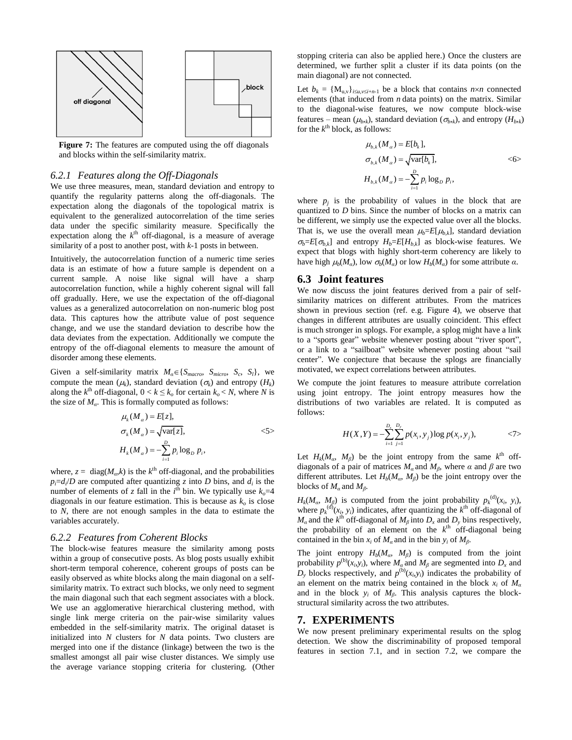

<span id="page-5-2"></span>**Figure 7:** The features are computed using the off diagonals and blocks within the self-similarity matrix.

## *6.2.1 Features along the Off-Diagonals*

We use three measures, mean, standard deviation and entropy to quantify the regularity patterns along the off-diagonals. The expectation along the diagonals of the topological matrix is equivalent to the generalized autocorrelation of the time series data under the specific similarity measure. Specifically the expectation along the  $k<sup>th</sup>$  off-diagonal, is a measure of average similarity of a post to another post, with *k*-1 posts in between.

Intuitively, the autocorrelation function of a numeric time series data is an estimate of how a future sample is dependent on a current sample. A noise like signal will have a sharp autocorrelation function, while a highly coherent signal will fall off gradually. Here, we use the expectation of the off-diagonal values as a generalized autocorrelation on non-numeric blog post data. This captures how the attribute value of post sequence change, and we use the standard deviation to describe how the data deviates from the expectation. Additionally we compute the entropy of the off-diagonal elements to measure the amount of disorder among these elements.

Given a self-similarity matrix  $M_a \in \{S_{macro}, S_{micro}, S_c, S_l\}$ , we compute the mean  $(\mu_k)$ , standard deviation  $(\sigma_k)$  and entropy  $(H_k)$ along the  $k^{\text{th}}$  off-diagonal,  $0 < k \leq k_o$  for certain  $k_o < N$ , where *N* is the size of  $M_a$ . This is formally computed as follows:

$$
\mu_k(M_\alpha) = E[z],
$$
  
\n
$$
\sigma_k(M_\alpha) = \sqrt{\text{var}[z]},
$$
  
\n
$$
H_k(M_\alpha) = -\sum_{i=1}^D p_i \log_D p_i,
$$
\n(5)

where,  $z = \text{diag}(M_a, k)$  is the  $k^{\text{th}}$  off-diagonal, and the probabilities  $p_i = d_i/D$  are computed after quantizing *z* into *D* bins, and  $d_i$  is the number of elements of *z* fall in the  $i^{\text{th}}$  bin. We typically use  $k_o=4$ diagonals in our feature estimation. This is because as *k<sup>o</sup>* is close to *N*, there are not enough samples in the data to estimate the variables accurately.

#### *6.2.2 Features from Coherent Blocks*

The block-wise features measure the similarity among posts within a group of consecutive posts. As blog posts usually exhibit short-term temporal coherence, coherent groups of posts can be easily observed as white blocks along the main diagonal on a selfsimilarity matrix. To extract such blocks, we only need to segment the main diagonal such that each segment associates with a block. We use an agglomerative hierarchical clustering method, with single link merge criteria on the pair-wise similarity values embedded in the self-similarity matrix. The original dataset is initialized into *N* clusters for *N* data points. Two clusters are merged into one if the distance (linkage) between the two is the smallest amongst all pair wise cluster distances. We simply use the average variance stopping criteria for clustering. (Other stopping criteria can also be applied here.) Once the clusters are determined, we further split a cluster if its data points (on the main diagonal) are not connected.

Let  $b_k = \{M_{u,v}\}_{i \le u,v \le i+n-1}$  be a block that contains  $n \times n$  connected elements (that induced from *n* data points) on the matrix. Similar to the diagonal-wise features, we now compute block-wise features – mean ( $\mu_{b,k}$ ), standard deviation ( $\sigma_{b,k}$ ), and entropy ( $H_{b,k}$ ) for the  $k^{\text{th}}$  block, as follows:

$$
\mu_{b,k}(M_{\alpha}) = E[b_k],
$$
  
\n
$$
\sigma_{b,k}(M_{\alpha}) = \sqrt{\text{var}[b_k]},
$$
  
\n
$$
H_{b,k}(M_{\alpha}) = -\sum_{i=1}^{p} p_i \log_p p_i,
$$
\n(6)

where  $p_j$  is the probability of values in the block that are quantized to *D* bins. Since the number of blocks on a matrix can be different, we simply use the expected value over all the blocks. That is, we use the overall mean  $\mu_b = E[\mu_{b,k}]$ , standard deviation  $\sigma_b = E[\sigma_{b,k}]$  and entropy  $H_b = E[H_{b,k}]$  as block-wise features. We expect that blogs with highly short-term coherency are likely to have high  $\mu_b(M_a)$ , low  $\sigma_b(M_a)$  or low  $H_b(M_a)$  for some attribute  $\alpha$ .

#### <span id="page-5-1"></span>**6.3 Joint features**

We now discuss the joint features derived from a pair of selfsimilarity matrices on different attributes. From the matrices shown in previous section (ref. e.g. [Figure 4\)](#page-3-1), we observe that changes in different attributes are usually coincident. This effect is much stronger in splogs. For example, a splog might have a link to a "sports gear" website whenever posting about "river sport", or a link to a "sailboat" website whenever posting about "sail center". We conjecture that because the splogs are financially motivated, we expect correlations between attributes.

We compute the joint features to measure attribute correlation using joint entropy. The joint entropy measures how the distributions of two variables are related. It is computed as follows:

$$
H(X,Y) = -\sum_{i=1}^{D_x} \sum_{j=1}^{D_y} p(x_i, y_j) \log p(x_i, y_j),
$$
  $\langle 7 \rangle$ 

Let  $H_k(M_\alpha, M_\beta)$  be the joint entropy from the same  $k^{\text{th}}$  offdiagonals of a pair of matrices  $M_a$  and  $M_\beta$ , where  $\alpha$  and  $\beta$  are two different attributes. Let  $H_b(M_a, M_\beta)$  be the joint entropy over the blocks of *M<sup>α</sup>* and *M<sup>β</sup>* .

 $H_k(M_\alpha, M_\beta)$  is computed from the joint probability  $p_k^{(d)}(x_i, y_i)$ , where  $p_k^{(d)}(x_i, y_i)$  indicates, after quantizing the  $k^{\text{th}}$  off-diagonal of  $M_a$  and the  $k^{\text{th}}$  off-diagonal of  $M_\beta$  into  $D_x$  and  $D_y$  bins respectively, the probability of an element on the  $k^{\text{th}}$  off-diagonal being contained in the bin  $x_i$  of  $M_\alpha$  and in the bin  $y_i$  of  $M_\beta$ .

The joint entropy  $H_b(M_a, M_\beta)$  is computed from the joint probability  $p^{(b)}(x_i, y_i)$ , where  $M_a$  and  $M_\beta$  are segmented into  $D_x$  and  $D_y$  blocks respectively, and  $p^{(b)}(x_i, y_i)$  indicates the probability of an element on the matrix being contained in the block  $x_i$  of  $M_a$ and in the block  $y_i$  of  $M_\beta$ . This analysis captures the blockstructural similarity across the two attributes.

### <span id="page-5-0"></span>**7. EXPERIMENTS**

We now present preliminary experimental results on the splog detection. We show the discriminability of proposed temporal features in section [7.1,](#page-6-0) and in section [7.2,](#page-6-1) we compare the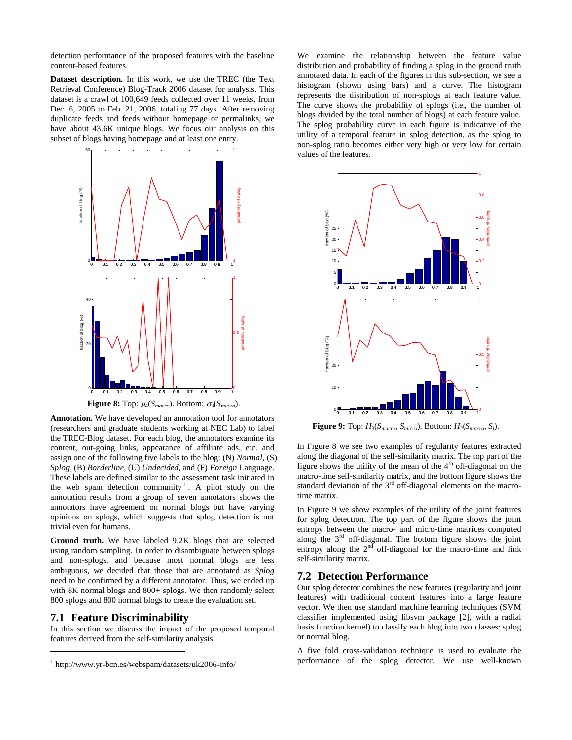detection performance of the proposed features with the baseline content-based features.

**Dataset description.** In this work, we use the TREC (the Text Retrieval Conference) Blog-Track 2006 dataset for analysis. This dataset is a crawl of 100,649 feeds collected over 11 weeks, from Dec. 6, 2005 to Feb. 21, 2006, totaling 77 days. After removing duplicate feeds and feeds without homepage or permalinks, we have about 43.6K unique blogs. We focus our analysis on this subset of blogs having homepage and at least one entry.



<span id="page-6-2"></span>**Annotation.** We have developed an annotation tool for annotators

(researchers and graduate students working at NEC Lab) to label the TREC-Blog dataset. For each blog, the annotators examine its content, out-going links, appearance of affiliate ads, etc. and assign one of the following five labels to the blog: (N) *Normal*, (S) *Splog*, (B) *Borderline*, (U) *Undecided*, and (F) *Foreign* Language. These labels are defined similar to the assessment task initiated in the web spam detection community<sup>1</sup>. A pilot study on the annotation results from a group of seven annotators shows the annotators have agreement on normal blogs but have varying opinions on splogs, which suggests that splog detection is not trivial even for humans.

**Ground truth.** We have labeled 9.2K blogs that are selected using random sampling. In order to disambiguate between splogs and non-splogs, and because most normal blogs are less ambiguous, we decided that those that are annotated as *Splog* need to be confirmed by a different annotator. Thus, we ended up with 8K normal blogs and 800+ splogs. We then randomly select 800 splogs and 800 normal blogs to create the evaluation set.

#### <span id="page-6-0"></span>**7.1 Feature Discriminability**

l

In this section we discuss the impact of the proposed temporal features derived from the self-similarity analysis.

We examine the relationship between the feature value distribution and probability of finding a splog in the ground truth annotated data. In each of the figures in this sub-section, we see a histogram (shown using bars) and a curve. The histogram represents the distribution of non-splogs at each feature value. The curve shows the probability of splogs (i.e., the number of blogs divided by the total number of blogs) at each feature value. The splog probability curve in each figure is indicative of the utility of a temporal feature in splog detection, as the splog to non-splog ratio becomes either very high or very low for certain values of the features.



<span id="page-6-3"></span>**Figure 9:** Top:  $H_3(S_{macro}, S_{micro})$ . Bottom:  $H_2(S_{macro}, S_l)$ .

In [Figure 8](#page-6-2) we see two examples of regularity features extracted along the diagonal of the self-similarity matrix. The top part of the figure shows the utility of the mean of the  $4<sup>th</sup>$  off-diagonal on the macro-time self-similarity matrix, and the bottom figure shows the standard deviation of the  $3<sup>rd</sup>$  off-diagonal elements on the macrotime matrix.

In [Figure 9](#page-6-3) we show examples of the utility of the joint features for splog detection. The top part of the figure shows the joint entropy between the macro- and micro-time matrices computed along the 3rd off-diagonal. The bottom figure shows the joint entropy along the  $2<sup>nd</sup>$  off-diagonal for the macro-time and link self-similarity matrix.

## <span id="page-6-1"></span>**7.2 Detection Performance**

Our splog detector combines the new features (regularity and joint features) with traditional content features into a large feature vector. We then use standard machine learning techniques (SVM classifier implemented using libsvm package [2], with a radial basis function kernel) to classify each blog into two classes: splog or normal blog.

A five fold cross-validation technique is used to evaluate the performance of the splog detector. We use well-known

<sup>1</sup> http://www.yr-bcn.es/webspam/datasets/uk2006-info/